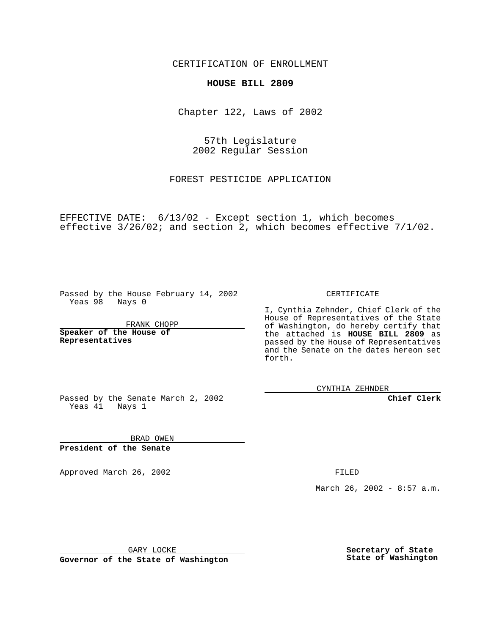CERTIFICATION OF ENROLLMENT

## **HOUSE BILL 2809**

Chapter 122, Laws of 2002

57th Legislature 2002 Regular Session

FOREST PESTICIDE APPLICATION

EFFECTIVE DATE: 6/13/02 - Except section 1, which becomes effective 3/26/02; and section 2, which becomes effective 7/1/02.

Passed by the House February 14, 2002 Yeas 98 Nays 0

FRANK CHOPP

**Speaker of the House of Representatives**

CERTIFICATE

I, Cynthia Zehnder, Chief Clerk of the House of Representatives of the State of Washington, do hereby certify that the attached is **HOUSE BILL 2809** as passed by the House of Representatives and the Senate on the dates hereon set forth.

CYNTHIA ZEHNDER

**Chief Clerk**

Passed by the Senate March 2, 2002 Yeas 41 Nays 1

BRAD OWEN **President of the Senate**

Approved March 26, 2002 **FILED** 

March 26, 2002 - 8:57 a.m.

GARY LOCKE

**Governor of the State of Washington**

**Secretary of State State of Washington**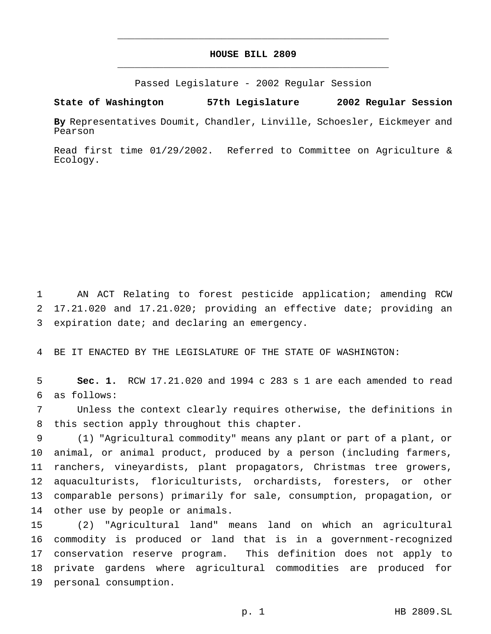## **HOUSE BILL 2809** \_\_\_\_\_\_\_\_\_\_\_\_\_\_\_\_\_\_\_\_\_\_\_\_\_\_\_\_\_\_\_\_\_\_\_\_\_\_\_\_\_\_\_\_\_\_\_

\_\_\_\_\_\_\_\_\_\_\_\_\_\_\_\_\_\_\_\_\_\_\_\_\_\_\_\_\_\_\_\_\_\_\_\_\_\_\_\_\_\_\_\_\_\_\_

Passed Legislature - 2002 Regular Session

**State of Washington 57th Legislature 2002 Regular Session**

**By** Representatives Doumit, Chandler, Linville, Schoesler, Eickmeyer and Pearson

Read first time 01/29/2002. Referred to Committee on Agriculture & Ecology.

 AN ACT Relating to forest pesticide application; amending RCW 17.21.020 and 17.21.020; providing an effective date; providing an expiration date; and declaring an emergency.

BE IT ENACTED BY THE LEGISLATURE OF THE STATE OF WASHINGTON:

 **Sec. 1.** RCW 17.21.020 and 1994 c 283 s 1 are each amended to read as follows:

 Unless the context clearly requires otherwise, the definitions in this section apply throughout this chapter.

 (1) "Agricultural commodity" means any plant or part of a plant, or animal, or animal product, produced by a person (including farmers, ranchers, vineyardists, plant propagators, Christmas tree growers, aquaculturists, floriculturists, orchardists, foresters, or other comparable persons) primarily for sale, consumption, propagation, or other use by people or animals.

 (2) "Agricultural land" means land on which an agricultural commodity is produced or land that is in a government-recognized conservation reserve program. This definition does not apply to private gardens where agricultural commodities are produced for personal consumption.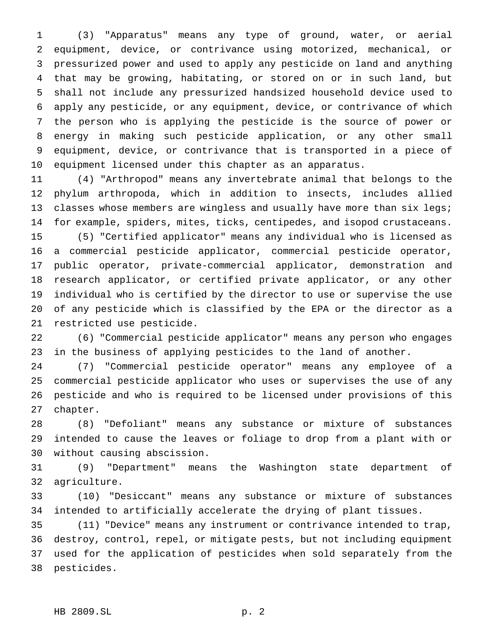(3) "Apparatus" means any type of ground, water, or aerial equipment, device, or contrivance using motorized, mechanical, or pressurized power and used to apply any pesticide on land and anything that may be growing, habitating, or stored on or in such land, but shall not include any pressurized handsized household device used to apply any pesticide, or any equipment, device, or contrivance of which the person who is applying the pesticide is the source of power or energy in making such pesticide application, or any other small equipment, device, or contrivance that is transported in a piece of equipment licensed under this chapter as an apparatus.

 (4) "Arthropod" means any invertebrate animal that belongs to the phylum arthropoda, which in addition to insects, includes allied 13 classes whose members are wingless and usually have more than six legs; for example, spiders, mites, ticks, centipedes, and isopod crustaceans. (5) "Certified applicator" means any individual who is licensed as a commercial pesticide applicator, commercial pesticide operator, public operator, private-commercial applicator, demonstration and

 research applicator, or certified private applicator, or any other individual who is certified by the director to use or supervise the use of any pesticide which is classified by the EPA or the director as a restricted use pesticide.

 (6) "Commercial pesticide applicator" means any person who engages in the business of applying pesticides to the land of another.

 (7) "Commercial pesticide operator" means any employee of a commercial pesticide applicator who uses or supervises the use of any pesticide and who is required to be licensed under provisions of this chapter.

 (8) "Defoliant" means any substance or mixture of substances intended to cause the leaves or foliage to drop from a plant with or without causing abscission.

 (9) "Department" means the Washington state department of agriculture.

 (10) "Desiccant" means any substance or mixture of substances intended to artificially accelerate the drying of plant tissues.

 (11) "Device" means any instrument or contrivance intended to trap, destroy, control, repel, or mitigate pests, but not including equipment used for the application of pesticides when sold separately from the pesticides.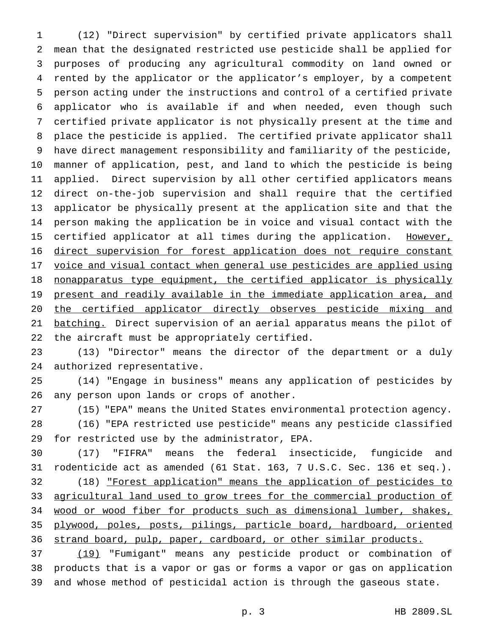(12) "Direct supervision" by certified private applicators shall mean that the designated restricted use pesticide shall be applied for purposes of producing any agricultural commodity on land owned or rented by the applicator or the applicator's employer, by a competent person acting under the instructions and control of a certified private applicator who is available if and when needed, even though such certified private applicator is not physically present at the time and place the pesticide is applied. The certified private applicator shall have direct management responsibility and familiarity of the pesticide, manner of application, pest, and land to which the pesticide is being applied. Direct supervision by all other certified applicators means direct on-the-job supervision and shall require that the certified applicator be physically present at the application site and that the person making the application be in voice and visual contact with the 15 certified applicator at all times during the application. However, 16 direct supervision for forest application does not require constant 17 voice and visual contact when general use pesticides are applied using nonapparatus type equipment, the certified applicator is physically 19 present and readily available in the immediate application area, and the certified applicator directly observes pesticide mixing and 21 batching. Direct supervision of an aerial apparatus means the pilot of the aircraft must be appropriately certified.

 (13) "Director" means the director of the department or a duly authorized representative.

 (14) "Engage in business" means any application of pesticides by any person upon lands or crops of another.

(15) "EPA" means the United States environmental protection agency.

 (16) "EPA restricted use pesticide" means any pesticide classified for restricted use by the administrator, EPA.

 (17) "FIFRA" means the federal insecticide, fungicide and rodenticide act as amended (61 Stat. 163, 7 U.S.C. Sec. 136 et seq.). (18) "Forest application" means the application of pesticides to 33 agricultural land used to grow trees for the commercial production of wood or wood fiber for products such as dimensional lumber, shakes, plywood, poles, posts, pilings, particle board, hardboard, oriented strand board, pulp, paper, cardboard, or other similar products.

 (19) "Fumigant" means any pesticide product or combination of products that is a vapor or gas or forms a vapor or gas on application and whose method of pesticidal action is through the gaseous state.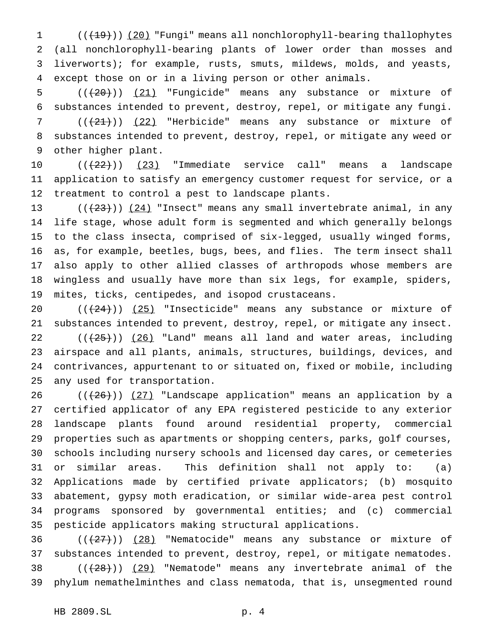1 (( $(19)$ )) (20) "Fungi" means all nonchlorophyll-bearing thallophytes (all nonchlorophyll-bearing plants of lower order than mosses and liverworts); for example, rusts, smuts, mildews, molds, and yeasts, except those on or in a living person or other animals.

5  $((+20))$   $(21)$  "Fungicide" means any substance or mixture of substances intended to prevent, destroy, repel, or mitigate any fungi.

7  $((+21))$   $(22)$  "Herbicide" means any substance or mixture of substances intended to prevent, destroy, repel, or mitigate any weed or other higher plant.

 $((22))$   $(23)$  "Immediate service call" means a landscape application to satisfy an emergency customer request for service, or a treatment to control a pest to landscape plants.

 $((+23))$   $(24)$  "Insect" means any small invertebrate animal, in any life stage, whose adult form is segmented and which generally belongs to the class insecta, comprised of six-legged, usually winged forms, as, for example, beetles, bugs, bees, and flies. The term insect shall also apply to other allied classes of arthropods whose members are wingless and usually have more than six legs, for example, spiders, mites, ticks, centipedes, and isopod crustaceans.

 $((+24))$   $(25)$  "Insecticide" means any substance or mixture of substances intended to prevent, destroy, repel, or mitigate any insect.  $((+25))$   $(26)$  "Land" means all land and water areas, including airspace and all plants, animals, structures, buildings, devices, and contrivances, appurtenant to or situated on, fixed or mobile, including any used for transportation.

 $((+26))$   $(27)$  "Landscape application" means an application by a certified applicator of any EPA registered pesticide to any exterior landscape plants found around residential property, commercial properties such as apartments or shopping centers, parks, golf courses, schools including nursery schools and licensed day cares, or cemeteries or similar areas. This definition shall not apply to: (a) Applications made by certified private applicators; (b) mosquito abatement, gypsy moth eradication, or similar wide-area pest control programs sponsored by governmental entities; and (c) commercial pesticide applicators making structural applications.

 $((+27))$   $(28)$  "Nematocide" means any substance or mixture of substances intended to prevent, destroy, repel, or mitigate nematodes.  $((+28))$   $(29)$  "Nematode" means any invertebrate animal of the phylum nemathelminthes and class nematoda, that is, unsegmented round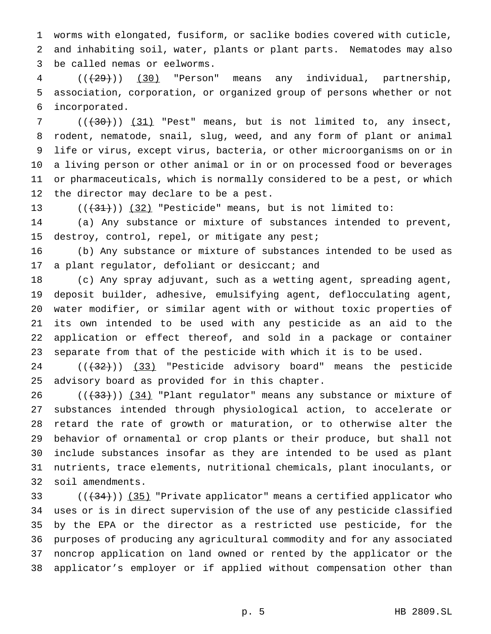worms with elongated, fusiform, or saclike bodies covered with cuticle, and inhabiting soil, water, plants or plant parts. Nematodes may also be called nemas or eelworms.

 (((29))) (30) "Person" means any individual, partnership, association, corporation, or organized group of persons whether or not incorporated.

 ( $(\overline{30})$ )  $(31)$  "Pest" means, but is not limited to, any insect, rodent, nematode, snail, slug, weed, and any form of plant or animal life or virus, except virus, bacteria, or other microorganisms on or in a living person or other animal or in or on processed food or beverages or pharmaceuticals, which is normally considered to be a pest, or which the director may declare to be a pest.

13  $((+31))$   $(32)$  "Pesticide" means, but is not limited to:

 (a) Any substance or mixture of substances intended to prevent, destroy, control, repel, or mitigate any pest;

 (b) Any substance or mixture of substances intended to be used as 17 a plant regulator, defoliant or desiccant; and

 (c) Any spray adjuvant, such as a wetting agent, spreading agent, deposit builder, adhesive, emulsifying agent, deflocculating agent, water modifier, or similar agent with or without toxic properties of its own intended to be used with any pesticide as an aid to the application or effect thereof, and sold in a package or container separate from that of the pesticide with which it is to be used.

24 (( $(32)$ )) (33) "Pesticide advisory board" means the pesticide advisory board as provided for in this chapter.

 ( $(\frac{33}{})$ )  $(34)$  "Plant regulator" means any substance or mixture of substances intended through physiological action, to accelerate or retard the rate of growth or maturation, or to otherwise alter the behavior of ornamental or crop plants or their produce, but shall not include substances insofar as they are intended to be used as plant nutrients, trace elements, nutritional chemicals, plant inoculants, or soil amendments.

33 ((<del>(34)</del>)) (35) "Private applicator" means a certified applicator who uses or is in direct supervision of the use of any pesticide classified by the EPA or the director as a restricted use pesticide, for the purposes of producing any agricultural commodity and for any associated noncrop application on land owned or rented by the applicator or the applicator's employer or if applied without compensation other than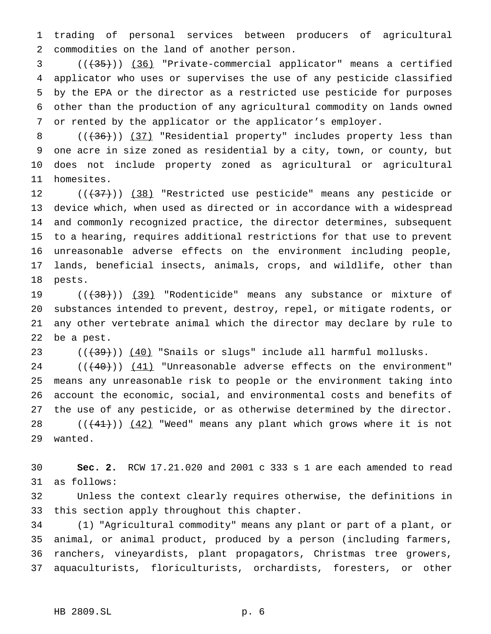trading of personal services between producers of agricultural commodities on the land of another person.

3 ((<del>(35)</del>)) <u>(36)</u> "Private-commercial applicator" means a certified applicator who uses or supervises the use of any pesticide classified by the EPA or the director as a restricted use pesticide for purposes other than the production of any agricultural commodity on lands owned or rented by the applicator or the applicator's employer.

8 (( $(36)$ )) (37) "Residential property" includes property less than one acre in size zoned as residential by a city, town, or county, but does not include property zoned as agricultural or agricultural homesites.

12 (( $\left(\frac{137}{12}\right)$ ) (38) "Restricted use pesticide" means any pesticide or device which, when used as directed or in accordance with a widespread and commonly recognized practice, the director determines, subsequent to a hearing, requires additional restrictions for that use to prevent unreasonable adverse effects on the environment including people, lands, beneficial insects, animals, crops, and wildlife, other than pests.

19 (( $\left(\frac{1}{38}\right)$ ) (39) "Rodenticide" means any substance or mixture of substances intended to prevent, destroy, repel, or mitigate rodents, or any other vertebrate animal which the director may declare by rule to be a pest.

23  $((+39))$   $(40)$  "Snails or slugs" include all harmful mollusks.

 $((+40))$   $(41)$  "Unreasonable adverse effects on the environment" means any unreasonable risk to people or the environment taking into account the economic, social, and environmental costs and benefits of the use of any pesticide, or as otherwise determined by the director.  $((+41))$   $(42)$  "Weed" means any plant which grows where it is not wanted.

 **Sec. 2.** RCW 17.21.020 and 2001 c 333 s 1 are each amended to read as follows:

 Unless the context clearly requires otherwise, the definitions in this section apply throughout this chapter.

 (1) "Agricultural commodity" means any plant or part of a plant, or animal, or animal product, produced by a person (including farmers, ranchers, vineyardists, plant propagators, Christmas tree growers, aquaculturists, floriculturists, orchardists, foresters, or other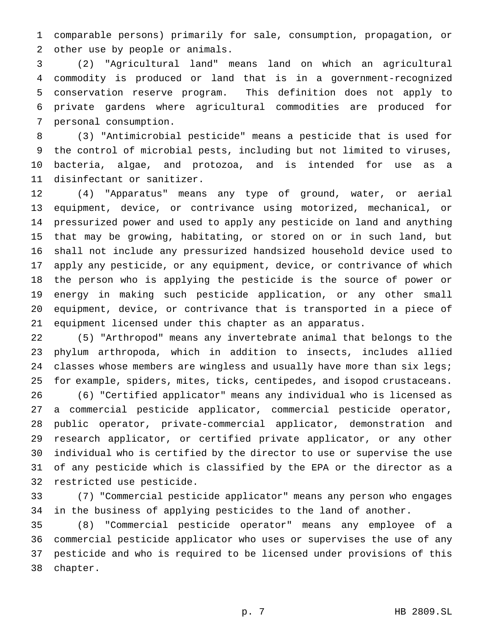comparable persons) primarily for sale, consumption, propagation, or other use by people or animals.

 (2) "Agricultural land" means land on which an agricultural commodity is produced or land that is in a government-recognized conservation reserve program. This definition does not apply to private gardens where agricultural commodities are produced for personal consumption.

 (3) "Antimicrobial pesticide" means a pesticide that is used for the control of microbial pests, including but not limited to viruses, bacteria, algae, and protozoa, and is intended for use as a disinfectant or sanitizer.

 (4) "Apparatus" means any type of ground, water, or aerial equipment, device, or contrivance using motorized, mechanical, or pressurized power and used to apply any pesticide on land and anything that may be growing, habitating, or stored on or in such land, but shall not include any pressurized handsized household device used to apply any pesticide, or any equipment, device, or contrivance of which the person who is applying the pesticide is the source of power or energy in making such pesticide application, or any other small equipment, device, or contrivance that is transported in a piece of equipment licensed under this chapter as an apparatus.

 (5) "Arthropod" means any invertebrate animal that belongs to the phylum arthropoda, which in addition to insects, includes allied 24 classes whose members are wingless and usually have more than six legs; for example, spiders, mites, ticks, centipedes, and isopod crustaceans.

 (6) "Certified applicator" means any individual who is licensed as a commercial pesticide applicator, commercial pesticide operator, public operator, private-commercial applicator, demonstration and research applicator, or certified private applicator, or any other individual who is certified by the director to use or supervise the use of any pesticide which is classified by the EPA or the director as a restricted use pesticide.

 (7) "Commercial pesticide applicator" means any person who engages in the business of applying pesticides to the land of another.

 (8) "Commercial pesticide operator" means any employee of a commercial pesticide applicator who uses or supervises the use of any pesticide and who is required to be licensed under provisions of this chapter.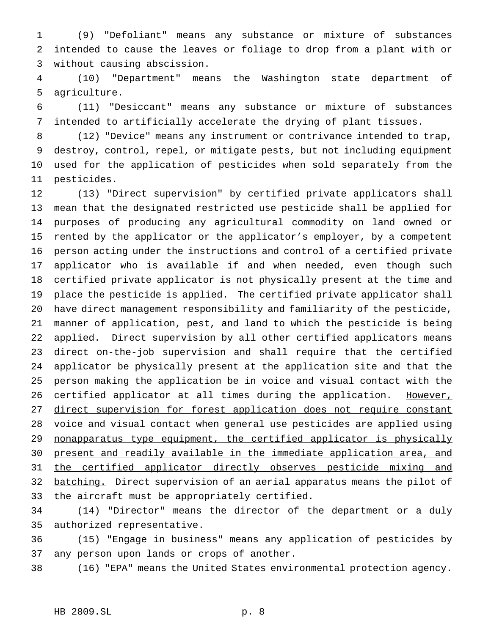(9) "Defoliant" means any substance or mixture of substances intended to cause the leaves or foliage to drop from a plant with or without causing abscission.

 (10) "Department" means the Washington state department of agriculture.

 (11) "Desiccant" means any substance or mixture of substances intended to artificially accelerate the drying of plant tissues.

 (12) "Device" means any instrument or contrivance intended to trap, destroy, control, repel, or mitigate pests, but not including equipment used for the application of pesticides when sold separately from the pesticides.

 (13) "Direct supervision" by certified private applicators shall mean that the designated restricted use pesticide shall be applied for purposes of producing any agricultural commodity on land owned or rented by the applicator or the applicator's employer, by a competent person acting under the instructions and control of a certified private applicator who is available if and when needed, even though such certified private applicator is not physically present at the time and place the pesticide is applied. The certified private applicator shall have direct management responsibility and familiarity of the pesticide, manner of application, pest, and land to which the pesticide is being applied. Direct supervision by all other certified applicators means direct on-the-job supervision and shall require that the certified applicator be physically present at the application site and that the person making the application be in voice and visual contact with the 26 certified applicator at all times during the application. However, 27 direct supervision for forest application does not require constant voice and visual contact when general use pesticides are applied using nonapparatus type equipment, the certified applicator is physically present and readily available in the immediate application area, and 31 the certified applicator directly observes pesticide mixing and 32 batching. Direct supervision of an aerial apparatus means the pilot of the aircraft must be appropriately certified.

 (14) "Director" means the director of the department or a duly authorized representative.

 (15) "Engage in business" means any application of pesticides by any person upon lands or crops of another.

(16) "EPA" means the United States environmental protection agency.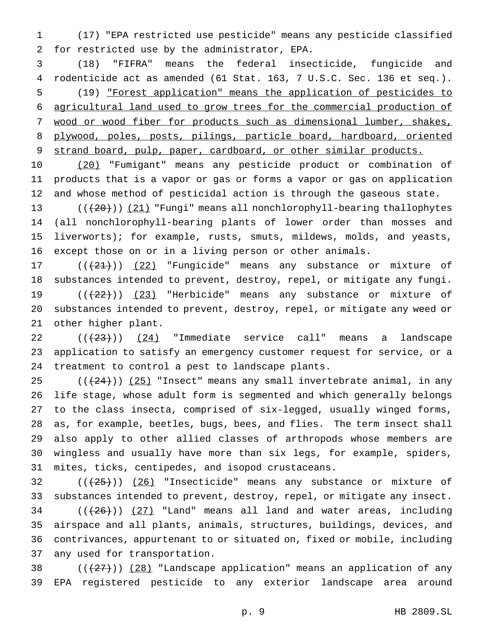(17) "EPA restricted use pesticide" means any pesticide classified for restricted use by the administrator, EPA.

 (18) "FIFRA" means the federal insecticide, fungicide and rodenticide act as amended (61 Stat. 163, 7 U.S.C. Sec. 136 et seq.). (19) "Forest application" means the application of pesticides to agricultural land used to grow trees for the commercial production of wood or wood fiber for products such as dimensional lumber, shakes, 8 plywood, poles, posts, pilings, particle board, hardboard, oriented 9 strand board, pulp, paper, cardboard, or other similar products.

 (20) "Fumigant" means any pesticide product or combination of products that is a vapor or gas or forms a vapor or gas on application and whose method of pesticidal action is through the gaseous state.

 $((+20))$   $(21)$  "Fungi" means all nonchlorophyll-bearing thallophytes (all nonchlorophyll-bearing plants of lower order than mosses and liverworts); for example, rusts, smuts, mildews, molds, and yeasts, except those on or in a living person or other animals.

 $((+21))$   $(22)$  "Fungicide" means any substance or mixture of substances intended to prevent, destroy, repel, or mitigate any fungi.  $((+22))$   $(23)$  "Herbicide" means any substance or mixture of substances intended to prevent, destroy, repel, or mitigate any weed or other higher plant.

  $((+23))$   $(24)$  "Immediate service call" means a landscape application to satisfy an emergency customer request for service, or a treatment to control a pest to landscape plants.

 $((+24))$   $(25)$  "Insect" means any small invertebrate animal, in any life stage, whose adult form is segmented and which generally belongs to the class insecta, comprised of six-legged, usually winged forms, as, for example, beetles, bugs, bees, and flies. The term insect shall also apply to other allied classes of arthropods whose members are wingless and usually have more than six legs, for example, spiders, mites, ticks, centipedes, and isopod crustaceans.

 ( $(\frac{25}{})$ ) (26) "Insecticide" means any substance or mixture of substances intended to prevent, destroy, repel, or mitigate any insect. ( $(\frac{26}{})$ )  $(27)$  "Land" means all land and water areas, including airspace and all plants, animals, structures, buildings, devices, and contrivances, appurtenant to or situated on, fixed or mobile, including any used for transportation.

38  $((+27))$   $(28)$  "Landscape application" means an application of any EPA registered pesticide to any exterior landscape area around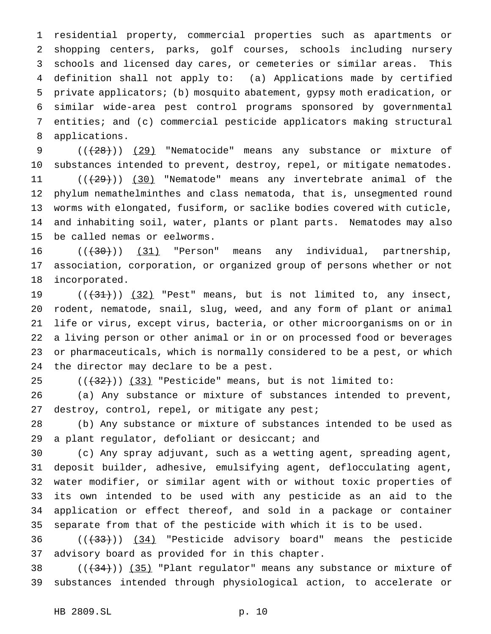residential property, commercial properties such as apartments or shopping centers, parks, golf courses, schools including nursery schools and licensed day cares, or cemeteries or similar areas. This definition shall not apply to: (a) Applications made by certified private applicators; (b) mosquito abatement, gypsy moth eradication, or similar wide-area pest control programs sponsored by governmental entities; and (c) commercial pesticide applicators making structural applications.

9 (( $(28)$ )) (29) "Nematocide" means any substance or mixture of substances intended to prevent, destroy, repel, or mitigate nematodes.  $((+29))$   $(30)$  "Nematode" means any invertebrate animal of the phylum nemathelminthes and class nematoda, that is, unsegmented round worms with elongated, fusiform, or saclike bodies covered with cuticle, and inhabiting soil, water, plants or plant parts. Nematodes may also be called nemas or eelworms.

16 ((<del>(30)</del>)) (31) "Person" means any individual, partnership, association, corporation, or organized group of persons whether or not incorporated.

 $((+31))$   $(32)$  "Pest" means, but is not limited to, any insect, rodent, nematode, snail, slug, weed, and any form of plant or animal life or virus, except virus, bacteria, or other microorganisms on or in a living person or other animal or in or on processed food or beverages or pharmaceuticals, which is normally considered to be a pest, or which the director may declare to be a pest.

 $((+32))$   $(33)$  "Pesticide" means, but is not limited to:

 (a) Any substance or mixture of substances intended to prevent, 27 destroy, control, repel, or mitigate any pest;

 (b) Any substance or mixture of substances intended to be used as a plant regulator, defoliant or desiccant; and

 (c) Any spray adjuvant, such as a wetting agent, spreading agent, deposit builder, adhesive, emulsifying agent, deflocculating agent, water modifier, or similar agent with or without toxic properties of its own intended to be used with any pesticide as an aid to the application or effect thereof, and sold in a package or container separate from that of the pesticide with which it is to be used.

36 (( $(33)$ )) (34) "Pesticide advisory board" means the pesticide advisory board as provided for in this chapter.

38  $((+34))$   $(35)$  "Plant regulator" means any substance or mixture of substances intended through physiological action, to accelerate or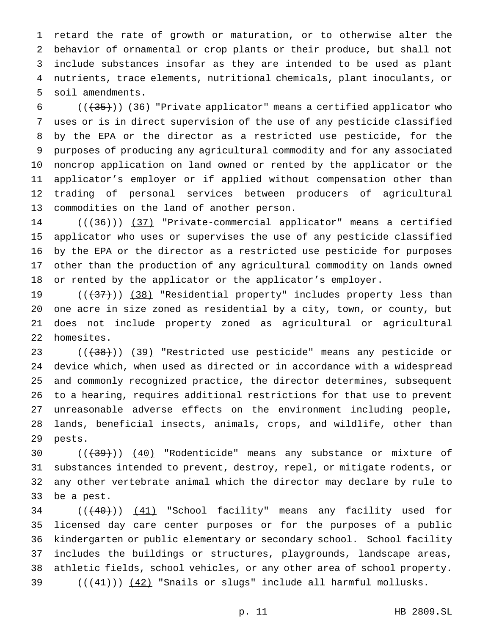retard the rate of growth or maturation, or to otherwise alter the behavior of ornamental or crop plants or their produce, but shall not include substances insofar as they are intended to be used as plant nutrients, trace elements, nutritional chemicals, plant inoculants, or soil amendments.

 $((+35))$  (36) "Private applicator" means a certified applicator who uses or is in direct supervision of the use of any pesticide classified by the EPA or the director as a restricted use pesticide, for the purposes of producing any agricultural commodity and for any associated noncrop application on land owned or rented by the applicator or the applicator's employer or if applied without compensation other than trading of personal services between producers of agricultural commodities on the land of another person.

14 (( $(36)$ )) (37) "Private-commercial applicator" means a certified applicator who uses or supervises the use of any pesticide classified by the EPA or the director as a restricted use pesticide for purposes other than the production of any agricultural commodity on lands owned or rented by the applicator or the applicator's employer.

 $((+37))$   $(38)$  "Residential property" includes property less than one acre in size zoned as residential by a city, town, or county, but does not include property zoned as agricultural or agricultural homesites.

 $((+38))$  (39) "Restricted use pesticide" means any pesticide or device which, when used as directed or in accordance with a widespread and commonly recognized practice, the director determines, subsequent to a hearing, requires additional restrictions for that use to prevent unreasonable adverse effects on the environment including people, lands, beneficial insects, animals, crops, and wildlife, other than pests.

 $((+39))$   $(40)$  "Rodenticide" means any substance or mixture of substances intended to prevent, destroy, repel, or mitigate rodents, or any other vertebrate animal which the director may declare by rule to be a pest.

34 ((<del>(40)</del>)) (41) "School facility" means any facility used for licensed day care center purposes or for the purposes of a public kindergarten or public elementary or secondary school. School facility includes the buildings or structures, playgrounds, landscape areas, athletic fields, school vehicles, or any other area of school property.  $((+41))$   $(42)$  "Snails or slugs" include all harmful mollusks.